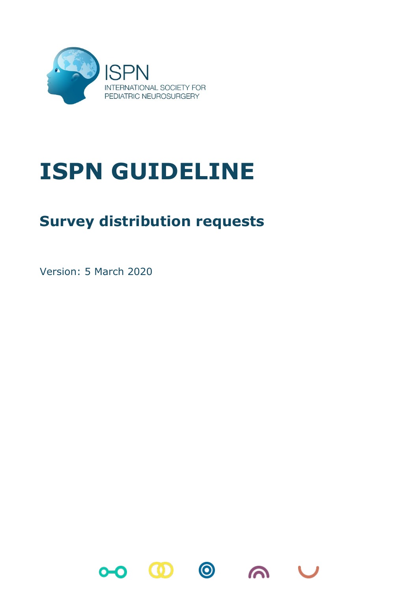

## **ISPN GUIDELINE**

## **Survey distribution requests**

Version: 5 March 2020